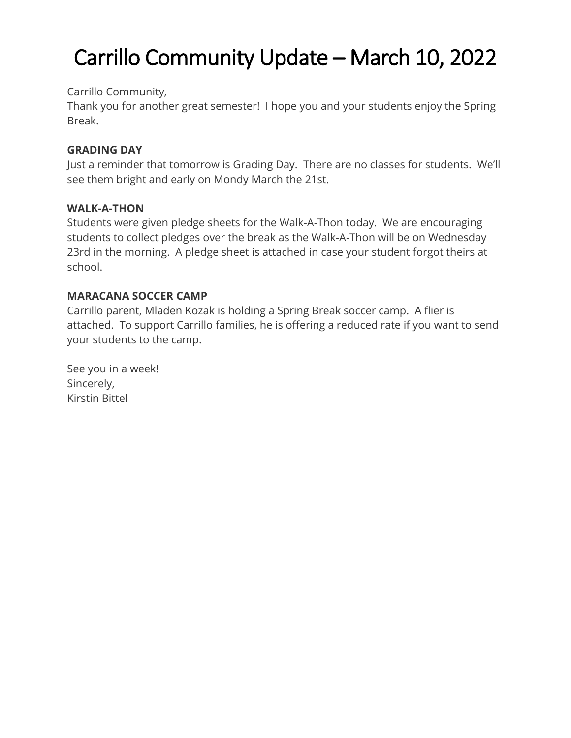# Carrillo Community Update – March 10, 2022

#### Carrillo Community,

Thank you for another great semester! I hope you and your students enjoy the Spring Break.

## **GRADING DAY**

Just a reminder that tomorrow is Grading Day. There are no classes for students. We'll see them bright and early on Mondy March the 21st.

#### **WALK-A-THON**

Students were given pledge sheets for the Walk-A-Thon today. We are encouraging students to collect pledges over the break as the Walk-A-Thon will be on Wednesday 23rd in the morning. A pledge sheet is attached in case your student forgot theirs at school.

## **MARACANA SOCCER CAMP**

Carrillo parent, Mladen Kozak is holding a Spring Break soccer camp. A flier is attached. To support Carrillo families, he is offering a reduced rate if you want to send your students to the camp.

See you in a week! Sincerely, Kirstin Bittel